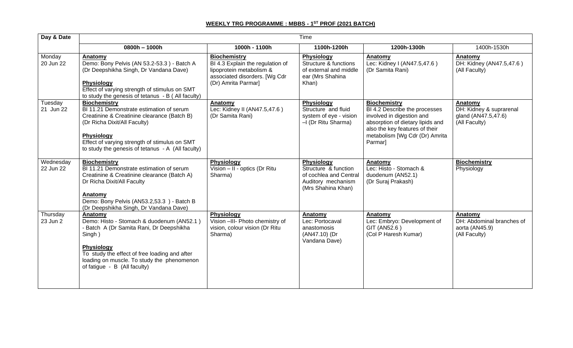## **WEEKLY TRG PROGRAMME : MBBS - 1 ST PROF (2021 BATCH)**

| Day & Date             | Time                                                                                                                                                                                                                                                                       |                                                                                                                                             |                                                                                                          |                                                                                                                                                                                                      |                                                                            |  |  |  |
|------------------------|----------------------------------------------------------------------------------------------------------------------------------------------------------------------------------------------------------------------------------------------------------------------------|---------------------------------------------------------------------------------------------------------------------------------------------|----------------------------------------------------------------------------------------------------------|------------------------------------------------------------------------------------------------------------------------------------------------------------------------------------------------------|----------------------------------------------------------------------------|--|--|--|
|                        | $0800h - 1000h$                                                                                                                                                                                                                                                            | 1000h - 1100h                                                                                                                               | 1100h-1200h                                                                                              | 1200h-1300h                                                                                                                                                                                          | 1400h-1530h                                                                |  |  |  |
| Monday<br>20 Jun 22    | Anatomy<br>Demo: Bony Pelvis (AN 53.2-53.3) - Batch A<br>(Dr Deepshikha Singh, Dr Vandana Dave)<br><b>Physiology</b><br>Effect of varying strength of stimulus on SMT<br>to study the genesis of tetanus - B (All faculty)                                                 | <b>Biochemistry</b><br>BI 4.3 Explain the regulation of<br>lipoprotein metabolism &<br>associated disorders. [Wg Cdr<br>(Dr) Amrita Parmar] | <b>Physiology</b><br>Structure & functions<br>of external and middle<br>ear (Mrs Shahina<br>Khan)        | Anatomy<br>Lec: Kidney I (AN47.5,47.6)<br>(Dr Samita Rani)                                                                                                                                           | Anatomy<br>DH: Kidney (AN47.5,47.6)<br>(All Faculty)                       |  |  |  |
| Tuesday<br>21 Jun 22   | <b>Biochemistry</b><br>BI 11.21 Demonstrate estimation of serum<br>Creatinine & Creatinine clearance (Batch B)<br>(Dr Richa Dixit/All Faculty)<br><b>Physiology</b><br>Effect of varying strength of stimulus on SMT<br>to study the genesis of tetanus $-A$ (All faculty) | Anatomy<br>Lec: Kidney II (AN47.5,47.6)<br>(Dr Samita Rani)                                                                                 | <b>Physiology</b><br>Structure and fluid<br>system of eye - vision<br>-I (Dr Ritu Sharma)                | <b>Biochemistry</b><br>BI 4.2 Describe the processes<br>involved in digestion and<br>absorption of dietary lipids and<br>also the key features of their<br>metabolism [Wg Cdr (Dr) Amrita<br>Parmar] | Anatomy<br>DH: Kidney & suprarenal<br>gland (AN47.5,47.6)<br>(All Faculty) |  |  |  |
| Wednesday<br>22 Jun 22 | <b>Biochemistry</b><br>BI 11.21 Demonstrate estimation of serum<br>Creatinine & Creatinine clearance (Batch A)<br>Dr Richa Dixit/All Faculty<br>Anatomy<br>Demo: Bony Pelvis (AN53.2,53.3) - Batch B<br>(Dr Deepshikha Singh, Dr Vandana Dave)                             | Physiology<br>Vision - II - optics (Dr Ritu<br>Sharma)                                                                                      | Physiology<br>Structure & function<br>of cochlea and Central<br>Auditory mechanism<br>(Mrs Shahina Khan) | <b>Anatomy</b><br>Lec: Histo - Stomach &<br>duodenum (AN52.1)<br>(Dr Suraj Prakash)                                                                                                                  | <b>Biochemistry</b><br>Physiology                                          |  |  |  |
| Thursday<br>23 Jun 2   | Anatomy<br>Demo: Histo - Stomach & duodenum (AN52.1)<br>- Batch A (Dr Samita Rani, Dr Deepshikha<br>Singh)<br><b>Physiology</b><br>To study the effect of free loading and after<br>loading on muscle. To study the phenomenon<br>of fatigue - B (All faculty)             | <b>Physiology</b><br>Vision -III- Photo chemistry of<br>vision, colour vision (Dr Ritu<br>Sharma)                                           | <b>Anatomy</b><br>Lec: Portocaval<br>anastomosis<br>(AN47.10) (Dr<br>Vandana Dave)                       | Anatomy<br>Lec: Embryo: Development of<br>GIT (AN52.6)<br>(Col P Haresh Kumar)                                                                                                                       | Anatomy<br>DH: Abdominal branches of<br>aorta (AN45.9)<br>(All Faculty)    |  |  |  |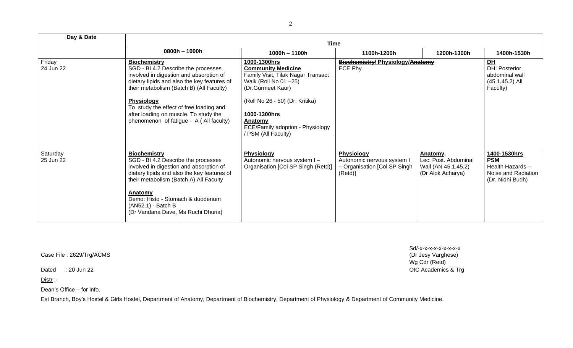| Day & Date            |                                                                                                                                                                                                                                                                                                                                                      |                                                                                                                                                                                                                                                              |                                                                                           |                                                                              |                                                                                           |  |  |  |
|-----------------------|------------------------------------------------------------------------------------------------------------------------------------------------------------------------------------------------------------------------------------------------------------------------------------------------------------------------------------------------------|--------------------------------------------------------------------------------------------------------------------------------------------------------------------------------------------------------------------------------------------------------------|-------------------------------------------------------------------------------------------|------------------------------------------------------------------------------|-------------------------------------------------------------------------------------------|--|--|--|
|                       | Time                                                                                                                                                                                                                                                                                                                                                 |                                                                                                                                                                                                                                                              |                                                                                           |                                                                              |                                                                                           |  |  |  |
|                       | 0800h - 1000h                                                                                                                                                                                                                                                                                                                                        | 1000h - 1100h                                                                                                                                                                                                                                                | 1100h-1200h                                                                               | 1200h-1300h                                                                  | 1400h-1530h                                                                               |  |  |  |
| Friday<br>24 Jun 22   | <b>Biochemistry</b><br>SGD - BI 4.2 Describe the processes<br>involved in digestion and absorption of<br>dietary lipids and also the key features of<br>their metabolism (Batch B) (All Faculty)<br><b>Physiology</b><br>To study the effect of free loading and<br>after loading on muscle. To study the<br>phenomenon of fatigue - A (All faculty) | 1000-1300hrs<br><b>Community Medicine.</b><br>Family Visit, Tilak Nagar Transact<br>Walk (Roll No 01 -25)<br>(Dr.Gurmeet Kaur)<br>(Roll No 26 - 50) (Dr. Kritika)<br>1000-1300hrs<br>Anatomy<br>ECE/Family adoption - Physiology<br><b>PSM (All Faculty)</b> | <b>Biochemistry/ Physiology/Anatomy</b><br>ECE Phy                                        | PL<br>DH: Posterior<br>abdominal wall<br>$(45.1, 45.2)$ All<br>Faculty)      |                                                                                           |  |  |  |
| Saturday<br>25 Jun 22 | <b>Biochemistry</b><br>SGD - BI 4.2 Describe the processes<br>involved in digestion and absorption of<br>dietary lipids and also the key features of<br>their metabolism (Batch A) All Faculty<br>Anatomy<br>Demo: Histo - Stomach & duodenum<br>(AN52.1) - Batch B<br>(Dr Vandana Dave, Ms Ruchi Dhuria)                                            | <b>Physiology</b><br>Autonomic nervous system I-<br>Organisation [Col SP Singh (Retd)]                                                                                                                                                                       | <b>Physiology</b><br>Autonomic nervous system I<br>- Organisation [Col SP Singh<br>(Retd) | Anatomy.<br>Lec: Post. Abdominal<br>Wall (AN 45.1,45.2)<br>(Dr Alok Acharya) | 1400-1530hrs<br><b>PSM</b><br>Health Hazards -<br>Noise and Radiation<br>(Dr. Nidhi Budh) |  |  |  |

Case File : 2629/Trg/ACMS

Distr :-

Dean's Office – for info.

Est Branch, Boy's Hostel & Girls Hostel, Department of Anatomy, Department of Biochemistry, Department of Physiology & Department of Community Medicine.

Sd/-x-x-x-x-x-x-x-x<br>(Dr Jesy Varghese) Wg Cdr (Retd) Dated : 20 Jun 22 **OIC Academics & Trg**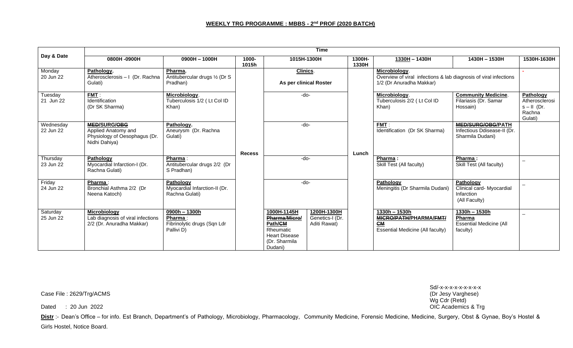|                        | <b>Time</b>                                                                                  |                                                                         |                |                                                                                                          |                                                |                 |                                                                                                                        |                                                                       |                                                                   |  |
|------------------------|----------------------------------------------------------------------------------------------|-------------------------------------------------------------------------|----------------|----------------------------------------------------------------------------------------------------------|------------------------------------------------|-----------------|------------------------------------------------------------------------------------------------------------------------|-----------------------------------------------------------------------|-------------------------------------------------------------------|--|
| Day & Date             | 0800H -0900H                                                                                 | $0900H - 1000H$                                                         | 1000-<br>1015h |                                                                                                          | 1015H-1300H                                    | 1300H-<br>1330H | 1330H-1430H                                                                                                            | 1430H-1530H                                                           | 1530H-1630H                                                       |  |
| Monday<br>20 Jun 22    | Pathology.<br>Atherosclerosis - I (Dr. Rachna<br>Gulati)                                     | Pharma.<br>Antitubercular drugs 1/2 (Dr S<br>Pradhan)                   |                | Clinics.                                                                                                 | As per clinical Roster                         |                 | Microbiology.<br>Overview of viral infections & lab diagnosis of viral infections<br>1/2 (Dr Anuradha Makkar)          |                                                                       |                                                                   |  |
| Tuesday<br>21 Jun 22   | FMT:<br>Identification<br>(Dr SK Sharma)                                                     | Microbiology.<br>Tuberculosis 1/2 (Lt Col ID<br>Khan)                   |                | -do-                                                                                                     |                                                |                 | Microbiology.<br>Tuberculosis 2/2 (Lt Col ID<br>Khan)                                                                  | <b>Community Medicine.</b><br>Filariasis (Dr. Samar<br>Hossain)       | Pathology<br>Atherosclerosi<br>$s$ – II (Dr.<br>Rachna<br>Gulati) |  |
| Wednesday<br>22 Jun 22 | <b>MED/SURG/OBG</b><br>Applied Anatomy and<br>Physiology of Oesophagus (Dr.<br>Nidhi Dahiya) | Pathology.<br>Aneurysm (Dr. Rachna<br>Gulati)                           | <b>Recess</b>  | -do-                                                                                                     |                                                | Lunch           | FMT:<br>Identification (Dr SK Sharma)                                                                                  | MED/SURG/OBG/PATH<br>Infectious Ddisease-II (Dr.<br>Sharmila Dudani)  |                                                                   |  |
| Thursday<br>23 Jun 22  | Pathology<br>Myocardial Infarction-I (Dr.<br>Rachna Gulati)                                  | Pharma:<br>Antitubercular drugs 2/2 (Dr<br>S Pradhan)                   |                | -do-                                                                                                     |                                                |                 | Pharma:<br>Skill Test (All faculty)                                                                                    | Pharma:<br>Skill Test (All faculty)                                   |                                                                   |  |
| Friday<br>24 Jun 22    | Pharma:<br>Bronchial Asthma 2/2 (Dr<br>Neena Katoch)                                         | Pathology<br>Myocardial Infarction-II (Dr.<br>Rachna Gulati)            |                | -do-                                                                                                     |                                                |                 | Pathology<br>Meningitis (Dr Sharmila Dudani)                                                                           | Pathology<br>Clinical card- Myocardial<br>Infarction<br>(All Faculty) |                                                                   |  |
| Saturday<br>25 Jun 22  | Microbiology<br>Lab diagnosis of viral infections<br>2/2 (Dr. Anuradha Makkar)               | $0900h - 1300h$<br>Pharma:<br>Fibrinolytic drugs (Sqn Ldr<br>Pallivi D) |                | 1000H-1145H<br>Pharma/Micro/<br>Path/CM<br>Rheumatic<br><b>Heart Disease</b><br>(Dr. Sharmila<br>Dudani) | 1200H-1300H<br>Genetics-I (Dr.<br>Aditi Rawat) |                 | $1330h - 1530h$<br>MICRO/PATH/PHARMA/FMT/<br>$\underline{\underline{\mathsf{CM}}}$<br>Essential Medicine (All faculty) | 1330h - 1530h<br>Pharma<br><b>Essential Medicine (All</b><br>faculty) |                                                                   |  |

Case File : 2629/Trg/ACMS

Dated : 20 Jun 2022 OIC Academics & Trg

Distr :- Dean's Office – for info. Est Branch, Department's of Pathology, Microbiology, Pharmacology, Community Medicine, Forensic Medicine, Medicine, Surgery, Obst & Gynae, Boy's Hostel & Girls Hostel, Notice Board.

Sd/-x-x-x-x-x-x-x-x-x Wg Cdr (Retd)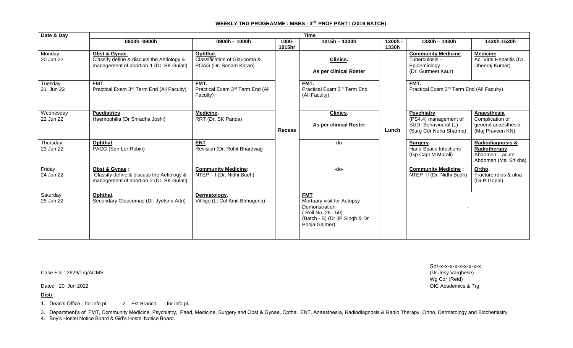## **WEEKLY TRG PROGRAMME : MBBS - 3 rd PROF PART I (2019 BATCH)**

| Date & Day             | <b>Time</b>                                                                                            |                                                                             |                 |                                                                                                                                   |                  |                                                                                       |                                                                                            |  |  |  |
|------------------------|--------------------------------------------------------------------------------------------------------|-----------------------------------------------------------------------------|-----------------|-----------------------------------------------------------------------------------------------------------------------------------|------------------|---------------------------------------------------------------------------------------|--------------------------------------------------------------------------------------------|--|--|--|
|                        | 0800h -0900h                                                                                           | 0900h - 1000h                                                               | 1000-<br>1015hr | $1015h - 1300h$                                                                                                                   | 1300h -<br>1330h | $1330h - 1430h$                                                                       | 1430h-1530h                                                                                |  |  |  |
| Monday<br>20 Jun 22    | Obst & Gynae.<br>Classify define & discuss the Aetiology &<br>management of abortion-1 (Dr. SK Gulati) | Ophthal.<br>Classification of Glaucoma &<br>POAG (Dr. Sonam Karan)          |                 | <b>Clinics.</b><br>As per clinical Roster                                                                                         |                  | <b>Community Medicine.</b><br>Tuberculosis-<br>Epidemiology<br>(Dr. Gurmeet Kaur)     | Medicine.<br>Ac. Viral Hepatitis (Dr.<br>Dheeraj Kumar)                                    |  |  |  |
| Tuesday<br>21 Jun 22   | FMT.<br>Practical Exam 3rd Term End (All Faculty)                                                      | FMT.<br>Practical Exam 3rd Term End (All<br>Faculty)                        |                 | FMT.<br>Practical Exam 3rd Term End<br>(All Faculty)                                                                              |                  | FMT.<br>Practical Exam 3rd Term End (All Faculty)                                     |                                                                                            |  |  |  |
| Wednesday<br>22 Jun 22 | <b>Paediatrics</b><br>Haemophilia (Dr Shradha Joshi)                                                   | Medicine.<br>RRT (Dr. SK Panda)                                             | <b>Recess</b>   | Clinics.<br>As per clinical Roster                                                                                                | Lunch            | Psychiatry.<br>(PS4.4) management of<br>SUD-Behavioural (L)<br>(Surg Cdr Neha Sharma) | Anaesthesia<br>Complication of<br>general anaesthesia<br>(Maj Praveen KN)                  |  |  |  |
| Thursday<br>23 Jun 22  | Ophthal.<br>PACG (Sqn Ldr Robin)                                                                       | ENT.<br>Revision (Dr. Rohit Bhardwaj)                                       |                 | -do-                                                                                                                              |                  | Surgery.<br><b>Hand Space Infections</b><br>(Gp Capt M Murali)                        | Radiodiagnosis &<br>Radiotherapy.<br>$\overline{Ab}$ domen – acute<br>Abdomen (Maj Shikha) |  |  |  |
| Friday<br>24 Jun 22    | Obst & Gynae:<br>Classify define & discuss the Aetiology &<br>management of abortion-2 (Dr. SK Gulati) | <b>Community Medicine:</b><br>$\overline{\text{NTEP}} - I$ (Dr. Nidhi Budh) |                 | $-do-$                                                                                                                            |                  | <b>Community Medicine:</b><br>NTEP- II (Dr. Nidhi Budh)                               | Ortho.<br>Fracture rdius & ulna<br>(Dr P Gopal)                                            |  |  |  |
| Saturday<br>25 Jun 22  | Ophthal.<br>Secondary Glaucomas (Dr. Jyotsna Attri)                                                    | Dermatology.<br>Vitiligo (Lt Col Amit Bahuguna)                             |                 | <b>FMT</b><br>Mortuary visit for Autopsy<br>Demonstration<br>(Roll No. 26 - 50)<br>(Batch - B) (Dr JP Singh & Dr<br>Pooja Gajmer) |                  |                                                                                       |                                                                                            |  |  |  |

Case File : 2629/Trg/ACMS

**Distr** :-

1. Dean's Office - for info pl. 2. Est Branch - for info pl.

3. Department's of FMT, Community Medicine, Psychiatry, Paed, Medicine, Surgery and Obst & Gynae, Opthal, ENT, Anaesthesia, Radiodiagnosis & Radio Therapy, Ortho, Dermatology and Biochemistry.

4. Boy's Hostel Notice Board & Girl's Hostel Notice Board.

Sd/-x-x-x-x-x-x-x-x-x Wg Cdr (Retd) Dated 20 Jun 2022 **OIC Academics & Trg**